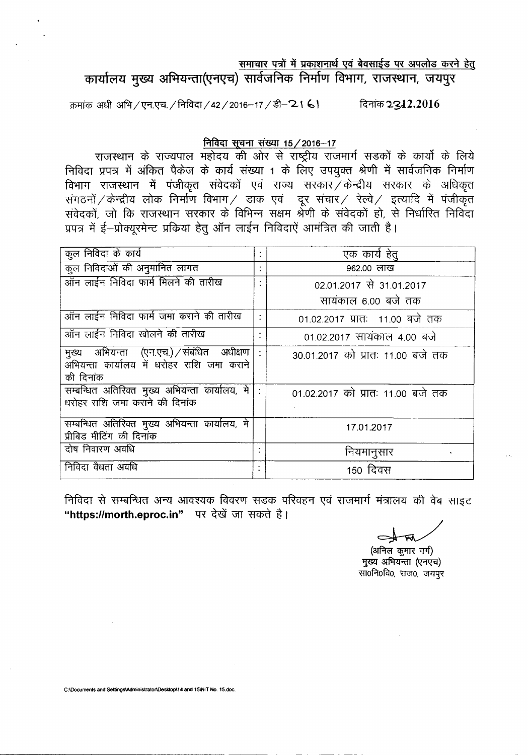समाचार पत्रों में प्रकाशनार्थ एवं बेवसाईड पर अपलोड करने हेतु

कार्यालय मुख्य अभियन्ता(एनएच) सार्वजनिक निर्माण विभाग, राजस्थान, जयपुर

क्रमांक अधी अभि / एन.एच. / निविदा / 42 / 2016-17 / डी- 21 6। ब्रिनांक 2312.2016

## निविदा सूचना संख्या 15/2016-17

राजस्थान के राज्यपाल महोदय की ओर से राष्ट्रीय राजमार्ग सडकों के कार्यो के लिये निविदा प्रपत्र में अंकित पैकेज के कार्य संख्या 1 के लिए उपयुक्त श्रेणी में सार्वजनिक निर्माण विभाग राजस्थान में पंजीकृत संवेदकों एवं राज्य सरकार $\breve{\nearrow}$ केन्द्रीय सरकार के अधिकृत संगठनों $\angle$ केन्द्रीय लोक निर्माण विभाग $\angle$  डाक एवं -दूर संचार $\angle$  रेल्वे $\angle$  इत्यादि में पंजीकृ संवेदकों, जो कि राजस्थान सरकार के विभिन्न सक्षम श्रेणी के संवेदको हो, से निर्धारित निविद प्रपत्र में ई-प्रोक्यूरमेन्ट प्रकिया हेतु ऑन लाईन निविदाऐं आमंत्रित की जाती है।

| कुल निविदा के कार्य                                                                                     |   | एक कार्य हेत्                     |  |  |
|---------------------------------------------------------------------------------------------------------|---|-----------------------------------|--|--|
| कुल निविदाओं की अनुमानित लागत                                                                           |   | 962.00 लाख                        |  |  |
| ऑन लाईन निविदा फार्म मिलने की तारीख                                                                     | ٠ | 02.01.2017 से 31.01.2017          |  |  |
|                                                                                                         |   | सायंकाल 6.00 बजे तक               |  |  |
| ऑन लाईन निविदा फार्म जमा कराने की तारीख                                                                 |   | 01.02.2017 प्रातः 11.00 बजे तक    |  |  |
| ऑन लाईन निविदा खोलने की तारीख                                                                           |   | 01.02.2017 सायंकाल 4.00 बजे       |  |  |
| मुख्य अभियन्ता (एन.एच.) संबंधित अधीक्षण<br>्<br>अभियन्ता कार्यालय में धरोहर राशि जमा कराने<br>की दिनांक |   | 30.01.2017 को प्रातः 11.00 बजे तक |  |  |
| सम्बन्धित अतिरिक्त मुख्य अभियन्ता कार्यालय, मे<br>धरोहर राशि जमा कराने की दिनांक                        |   | 01.02.2017 को प्रातः 11.00 बजे तक |  |  |
| सम्बन्धित अतिरिक्त मुख्य अभियन्ता कार्यालय, मे<br>प्रीबिड मीटिंग की दिनांक                              |   | 17.01.2017                        |  |  |
| दोष निवारण अवधि                                                                                         |   | नियमानुसार                        |  |  |
| निविदा वैधता अवधि                                                                                       |   | 150 दिवस                          |  |  |

निविदा से सम्बन्धित अन्य आवश्यक विवरण सडक परिवहन एवं राजमार्ग मंत्रालय की वेब साइट "https://morth.eproc.in" पर देखें जा सकते है।

(अनिल कुमार गर्ग) मुख्य अभियन्ता (एनएच) सा0नि0वि0, राज0, जयपुर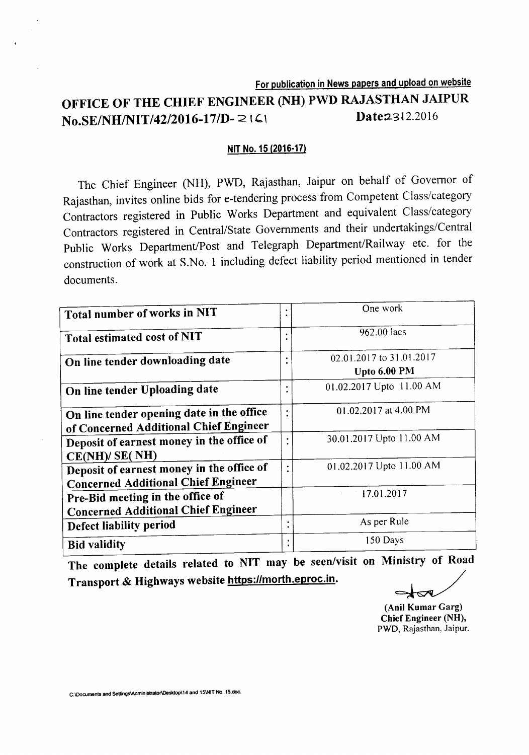# For publication in News papers and upload on website OFFICE OF THE CHIEF ENGINEER (NH) PWD RAJASTHAN JAIPUR No.SE/NH/NIT/42/2016-17/D-2161 Date2312.2016

## NIT No. 15 (2016-17)

The Chief Engineer (NH), PWD, Rajasthan, Jaipur on behalf of Governor of Rajasthan, invites online bids for e-tendering process from Competent Class/category Contractors registered in Public Works Department and equivalent Class/category Contractors registered in Central/State Governments and their undertakings/Central Public Works Department/Post and Telegraph Department/Railway etc. for the construction of work at S.No. 1 including defect liability period mentioned in tender documents.

|                                            |           | One work                 |
|--------------------------------------------|-----------|--------------------------|
| Total number of works in NIT               | ٠         |                          |
|                                            |           | 962.00 lacs              |
| Total estimated cost of NIT                |           |                          |
| On line tender downloading date            |           | 02.01.2017 to 31.01.2017 |
|                                            |           | Upto 6.00 PM             |
| On line tender Uploading date              |           | 01.02.2017 Upto 11.00 AM |
|                                            |           |                          |
| On line tender opening date in the office  |           | 01.02.2017 at 4.00 PM    |
| of Concerned Additional Chief Engineer     |           |                          |
| Deposit of earnest money in the office of  | $\bullet$ | 30.01.2017 Upto 11.00 AM |
| CE(NH)/ SE(NH)                             |           |                          |
| Deposit of earnest money in the office of  | ٠         | 01.02.2017 Upto 11.00 AM |
| <b>Concerned Additional Chief Engineer</b> |           |                          |
| Pre-Bid meeting in the office of           |           | 17.01.2017               |
| <b>Concerned Additional Chief Engineer</b> |           |                          |
| Defect liability period                    |           | As per Rule              |
|                                            |           |                          |
| <b>Bid validity</b>                        |           | 150 Days                 |

The complete details related to NIT may be seen/visit on Ministry of Road Transport & Highways website https://morth.eproc.in.

~

(Ani! Kumar Garg) Chief Engineer (NH), PWD, Rajasthan, Jaipur.

C:lOocuments and SettingslAdministratorlDesktopl14 and 15\NlT No. 15.doc.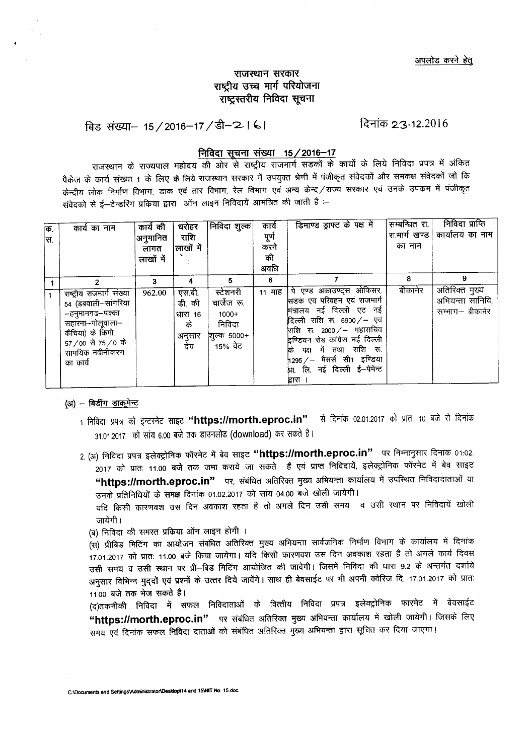# राजस्थान सरकार राष्ट्रीय उच्च मार्ग परियोजना राष्टस्तरीय निविदा सूचना

बिड संख्या– 15/2016–17/डी–2। ६। दिनांक 23,12.2016

# **निविदा सचना संख्या 15/2016-17**

राजस्थान के राज्यपाल महोदय की ओर से राष्ट्रीय राजमार्ग सडकों के कार्यो के लिये निविदा प्रपत्र में अंकित .<br>पैकेज के कार्य संख्या 1 के लिए के लिये राजस्थान सरकार में उपयुक्त श्रेणी में पंजीकृत संवेदकों और समकक्ष संवेदकों जो कि .<br>केन्द्रीय लोक निर्माण विभाग, डाक एवं तार विभाग, रेल विभाग एवं अन्य केन्द्र ⁄ राज्य सरकार एवं उनके उपकम में पंजीकृत संवेदकों से ई—टेन्डरिंग प्रकिया द्वारा) ऑन लाइन निविदायें आमंत्रित की जाती है :<del>-</del>

| क.<br>स. | कार्य का नाम                                                                                                                                                         | कार्य की<br>अनुमानित<br>लागत<br>लाखों में | घरोहर<br>राशि<br>लाखों में                          | निविदा शुल्क                                                                  | कार्य<br>पूर्ण<br>करने<br>की<br>अवधि | डिमाण्ड ड्राफ्ट के पक्ष में                                                                                                                                                                                                                                                                    | सम्बन्धित रा.<br>रा.मार्ग खण्ड  <br>का नाम | निविदा प्राप्ति<br>कार्यालय का नाम                         |
|----------|----------------------------------------------------------------------------------------------------------------------------------------------------------------------|-------------------------------------------|-----------------------------------------------------|-------------------------------------------------------------------------------|--------------------------------------|------------------------------------------------------------------------------------------------------------------------------------------------------------------------------------------------------------------------------------------------------------------------------------------------|--------------------------------------------|------------------------------------------------------------|
|          | 2<br>राष्ट्रीय राजमार्ग संख्या<br>54 (डबवाली–सांगरिया<br>–हनुमानगढ–पक्का<br>सहारना–गोलूवाला–<br>कैंचिया) के किमी.<br>57/00 से 75/0 के<br>सामयिक नवीनीकरण<br>का कार्य | 3<br>962.00                               | एस.बी.<br>डी. की<br>'धारा 16<br>के<br>अनुसार<br>देय | 5.<br>स्टेशनरी<br>चार्जेज रू.<br>$1000+$<br>निविदा<br> शुल्क 5000+<br>15% ਕੇਟ | 6                                    | 11 माह   पे एण्ड अकाउण्ट्स ओफिसर,<br>सिडक एव परिवहन एवं राजमार्ग<br>मंत्रालय नई दिल्ली एट नई<br>दिल्ली राशि रू. 6900/- एवं<br>राशि रू. 2000 /– महासचिव<br>इण्डियन रोड कांग्रेस नई दिल्ली<br>कि पक्ष में तथा राशि रू.<br>1295 ⁄ – मैसर्स सी1 इण्डिया<br>प्रा. लि. नई दिल्ली ई-पेमेन्ट<br>द्रारा | 8<br>बीकानेर                               | 9<br>अतिरिक्त मुख्य<br>अभियन्ता सानिवि,<br>सम्भाग– बीकानेर |

#### $(31)$  - बिडींग डाकूमेन्ट

- 1. निविदा प्रपत्र को इन्टरनेट साइट **"https://morth.eproc.in"** से दिनांक 02.01.2017 को प्रातः 10 बजे से दिनांक  $31.01.2017$  को सांय 6.00 बजे तक डाउनलोड (download) कर सकते है।
- 2. (अ) निविदा प्रपत्र इलेक्ट्रोनिक फॉरमेट में बेव साइट "https://morth.eproc.in" पर निम्नानुसार दिनांक 01:02. ,<br>2017 को प्रातः 11.00 बजे तक जमा कराये जा सकते हैं एवं प्राप्त निविदायें, इलेक्ट्रोनिक फॉरमेट में बेव साइट "https://morth.eproc.in" पर, संबंधित अतिरिक्त मुख्य अभियन्ता कार्यालय में उपस्थित निविदादाताओं या उनके प्रतिनिधियों के समक्ष दिनांक 01.02.2017 को सांय 04.00 बजे खोली जायेगी।

यदि किसी कारणवश उस दिन अवकाश रहता है तो अगले दिन उसी समय व उसी स्थान पर निविदायें खोली जायेगी ।

(ब) निविदा की समस्त प्रकिया ऑन लाइन होगी ।

(स) प्रीबिड मिटिंग का आयोजन संबंधित अतिरिक्त मुख्य अभियन्ता सार्वजनिक निर्माण विभाग के कार्यालय में दिनांक . . .<br>17.01.2017 को प्रातः 11.00 बजे किया जायेगा। यदि किसी कारणवश उस दिन अवकाश रहता है तो अगले कार्य दिवस उसी समय व उसी स्थान पर प्री-बिड मिटिंग आयोजित की जावेगी। जिसमें निविदा की धारा 9.2 के अन्तर्गत दर्शाये अनुसार विभिन्न मुद्दों एवं प्रश्नों के उत्तर दिये जावेंगे। साथ ही बेवसाईट पर भी अपनी क्वेरिज दि. 17.01.2017 को प्रातः 11.00 बजे तक भेज सकते है।

(द)तकनीकी निविदा में सफल निविदाताओं के वित्तीय निविदा प्रपत्र इलेक्ट्रोनिक फारमेट में बेवसाईट "https://morth.eproc.in" पर संबंधित अतिरिक्त मुख्य अभियन्ता कार्यालय में खोली जायेगी। जिसके लिए समय एवं दिनांक सफल निविदा दाताओं को संबंधित अतिरिक्त मुख्य अभियन्ता द्वारा सूचित कर दिया जाएगा।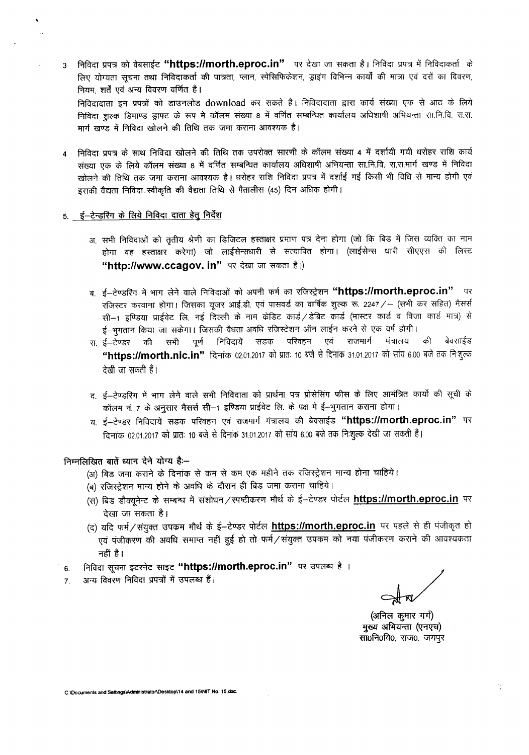3 निविदा प्रपत्र को वेबसाईट **"https://morth.eproc.in"** पर देखा जा सकता है। निविदा प्रपत्र में निविदाकर्ता के लिए योग्यता सचना तथा निविदाकर्ता की पात्रता, प्लान, स्पेसिफिकेशन, ड्राइंग विभिन्न कार्यों की मात्रा एवं दरों का विवरण, नियम, शर्तें एवं अन्य विवरण वर्णित है।

निविदादाता इन प्रपत्रों को डाउनलोड download कर सकते है। निविदादाता द्वारा कार्य संख्या एक से आठ के लिये निविदा शल्क डिमाण्ड ड्राफ्ट के रूप में कॉलम संख्या 8 में वर्णित सम्बन्धित कार्यालय अधिशाषी अभियन्ता सा.नि.वि. रा.रा. मार्ग खण्ड में निविदा खोलने की तिथि तक जमा कराना आवश्यक है।

4 निविदा प्रपत्र के साथ निविदा खोलने की तिथि तक उपरोक्त सारणी के कॉलम संख्या 4 में दर्शायी गयी धरोहर राशि कार्य संख्या एक के लिये कॉलम संख्या 8 में वर्णित सम्बन्धित कार्यालय अधिशाषी अभियन्ता सा.नि.वि. रा.रा.मार्ग खण्ड में निविदा खोलने की तिथि तक जमा कराना आवश्यक है। धरोहर राशि निविदा प्रपत्र में दर्शाई गई किसी भी विधि से मान्य होगी एवं इसकी वैद्यता निविदा स्वीकृति की वैद्यता तिथि से पैतालीस (45) दिन अधिक होगी।

#### 5. ई-टेन्डरिंग के लिये निविदा <u>दाता हेतु निर्देश</u>

- अ. सभी निविदाओं को तृतीय श्रेणी का डिजिटल हस्ताक्षर प्रमाण पत्र देना होगा (जो कि बिड में जिस व्यक्ति का नाम होगा वह हस्ताक्षर करेगा) जो लाईसेन्सधारी से सत्यापित होगा। (लाईसेन्स धारी सीएएस की लिस्ट "http://www.ccagov. in" पर देखा जा सकता है।)
- ब, ई-टेण्डरिंग में भाग लेने वाले निविदाओं को अपनी फर्म का रजिस्ट्रेशन "https://morth.eproc.in" पर रजिस्टर करवाना होगा। जिसका युजर आई.डी. एवं पासवर्ड का वार्षिक शुल्क रू. 2247 / - (सभी कर सहित) मैसर्स सी--1 इण्डिया प्राईवेट लि. नई दिल्ली के नाम केडिट कार्ड /डेबिट कार्ड (मास्टर कार्ड व विजा कार्ड मात्र) से ई--भुगतान किया जा सकेगा। जिसकी वैधता अवधि रजिस्टेशन ऑन लाईन करने से एक वर्ष होगी।<br>ई--टेण्डर की सभी पूर्ण निविदायें सडक परिवहन एवं राजमार्ग मंत्रालय की
- स, ई–टेण्डर की सभी पूर्ण निविदायें सडक परिवहन एवं राजमार्ग मंत्रालय की बेवसाईड "https://morth.nic.in" दिनांक 02.01.2017 को प्रातः 10 बजे से दिनांक 31.01.2017 को सांय 6.00 बजे तक निःशुल्क देखी जा सकती हैं।
- द, ई-टेण्डरिंग में भाग लेने वाले सभी निविदाता को प्रार्थना पत्र प्रोसेसिंग फीस के लिए आमंत्रित कार्यो की सूची के ३–८-७७१९१ में भाग लग पाल रागा गांववारा का प्राप्त गांव प्रारंभित गारी के राष्ट्र आगे।<br>कॉलम नं. 7 <mark>के अनुसार मैसर्स सी–1 इण्डि</mark>या प्राईवेट लि. के पक्ष मे ई–भुगतान कराना होगा।
- य. ई-टेण्डर निविदायें सडक परिवहन एवं राजमार्ग मंत्रालय की बेवसाईड "https://morth.eproc.in" पर दिनांक 02.01.2017 को प्रातः 10 बजे से दिनांक 31.01.2017 को सांय 6.00 बजे तक निःशुल्क देखी जा सकती हैं।

#### निम्नलिखित बातें ध्यान देने योग्य हैं:--

- (अ) बिड जमा कराने के दिनांक से कम से कम एक महीने तक रजिस्ट्रेशन मान्य होना चाहिये।
- (ब) रजिस्ट्रेशन मान्य होने के अवधि के दौरान ही बिड जमा कराना चाहिये।
- (ब) राजरप्रसन नाम्य होने के अवाय के बाराने हो 190 जना करेंगी आहेबने<br>(स) बिड डौक्यूमेन्ट के सम्बन्ध में संशोधन ⁄ स्पष्टीकरण मौर्थ के ई—टेण्डर पोर्टल <u>https://morth.eproc.in</u> पर देखा जा सकता है।
- (द) यदि फर्म/संयुक्त उपक्रम मौर्थ के ई--टेण्डर पोर्टल https://morth.eproc.in पर पहले से ही पंजीकृत हो एवं पंजीकरण की अवधि समाप्त नहीं हुई हो तो फर्म/संयुक्त उपकम को नया पंजीकरण कराने की आवश्यकता नहीं है।
- 6. निविदा सूचना इटरनेट साइट "https://morth.eproc.in" पर उपलब्ध है ।
- 7. अन्य विवरण निविदा प्रपत्रों में उपलब्ध हैं।

(अनिल कुमार गगे) मुख्य अभियन्ता (एनएच) सा0नि0वि0, राज0, जयपुर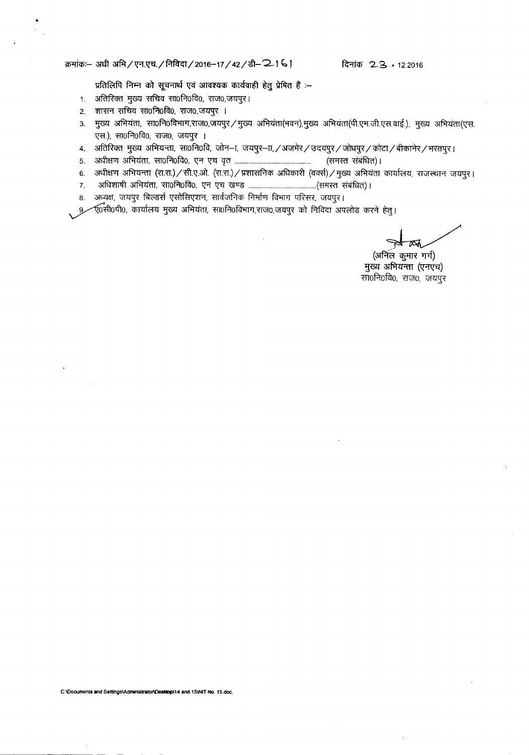#### ~:- <sup>31</sup>'Cft 3W1/~.~./#rfiRT/2016-17 / 42/~-'2-1 "" **~ 23, •**12.2016

प्रतिलिपि निम्न को सूचनार्थ एवं आवश्यक कार्यवाही हेतु प्रेषित हैं :-

- $1.$  अतिरिक्त मुख्य सचिव सा0नि0वि0, राज0,जयपुर।
- 2. शासन सचिव सा0नि0वि0, राज0,जयपुर ।
- 3. मुख्य अभियंता, सा0नि0विभाग,राज0,जयपुर / मुख्य अभियंता(भवन),मुख्य अभियंता(पी.एम.जी.एस.वाई.), मुख्य अभियंता(एस. एस.), सा0नि0वि0, राज0, जयपुर ।
- 4. जतिरिक्त मुख्य अभियन्ता, सा0नि0वि, जोन-ा, जयपुर-ाा, /अजमेर / उदयपुर / जोधपुर / कोटा / बीकानेर / भरतपुर ।
- 5. ~aTUT~, mof.1ofcto,~ ~ C[Cl (Wffi'f ~) I
- 6. अधीक्षण अभियन्ता (रा.रा.) / सी.ए.ओ. (रा.रा.) / प्रशासनिक अधिकारी (वर्क्स) / मुख्य अभियंता कार्यालय, राजस्थान जयपुर।
- 7. ~ ~, mof.1ofcto,~ ~ ~ (Wffif ~) I
- 8. अध्यक्ष, जयपुर बिल्डर्स एसोसिएशन, सार्वजनिक निर्माण विभाग परिसर, जयपुर।

9 % रुज्मी0पी0, कार्यालय मुख्य अभियंता, सा0नि0विभाग,राज0,जयपुर को निविदा अपलोड करने हेतु।

(अनिल कुमार गर्ग) मुख्य अभियन्ता (एनएच) सा0नि0वि0, राज0, जयपुर

C:lOoaJments **and SettingslAdministratorll:le-.,I14 and 15\NIT** No. lS.doc.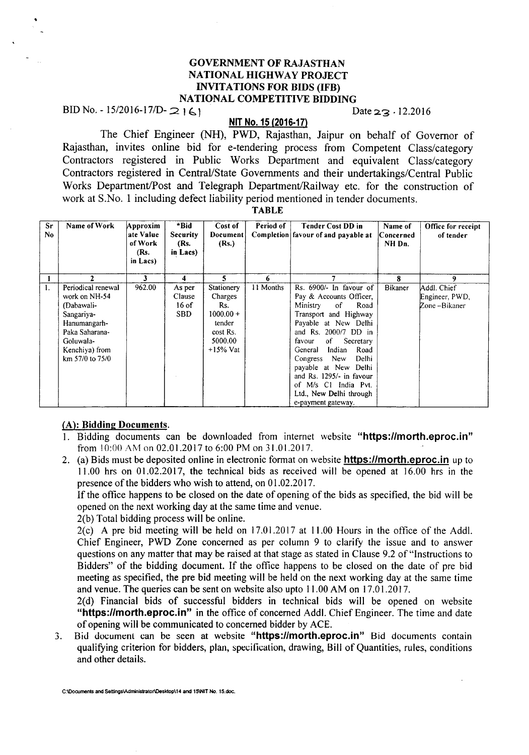# GOVERNMENT OF RAJASTHAN NATIONAL HIGHWAY PROJECT INVITATIONS FOR BIDS (IFB) NATIONAL COMPETITIVE BIDDING

BID No. - 15/2016-17/D-  $2 \mid 6$ 

# **NIT** No. 15 (2016·17)

The Chief Engineer (NH), PWD, Rajasthan, Jaipur on behalf of Governor of Rajasthan, invites online bid for e-tendering process from Competent Class/category Contractors registered in Public Works Department and equivalent Class/category Contractors registered in Central/State Governments and their undertakings/Central Public Works Department/Post and Telegraph Department/Railway etc. for the construction of work at S.No. 1 including defect liability period mentioned in tender documents.

TABLE

| Sr<br>No. | Name of Work                                                                                                                                        | Approxim<br>ate Value<br>of Work<br>(Rs.<br>in Lacs) | *Bid<br><b>Security</b><br>(Rs.<br>in Lacs) | Cost of<br>Document<br>(Rs.)                                                               | Period of | <b>Tender Cost DD in</b><br>Completion favour of and payable at                                                                                                                                                                                                                                                                                                          | Name of<br>Concerned<br>NH Dn. | Office for receipt<br>of tender               |
|-----------|-----------------------------------------------------------------------------------------------------------------------------------------------------|------------------------------------------------------|---------------------------------------------|--------------------------------------------------------------------------------------------|-----------|--------------------------------------------------------------------------------------------------------------------------------------------------------------------------------------------------------------------------------------------------------------------------------------------------------------------------------------------------------------------------|--------------------------------|-----------------------------------------------|
|           | 2                                                                                                                                                   | 3                                                    | 4                                           | 5                                                                                          | 6         |                                                                                                                                                                                                                                                                                                                                                                          | 8                              | 9                                             |
| 1.        | Periodical renewal<br>work on NH-54<br>(Dabawali-<br>Sangariya-<br>Hanumangarh-<br>Paka Saharana-<br>Goluwala-<br>Kenchiya) from<br>km 57/0 to 75/0 | 962.00                                               | As per<br>Clause<br>$16$ of<br><b>SBD</b>   | Stationery<br>Charges<br>Rs.<br>$1000.00 +$<br>tender<br>cost Rs.<br>5000.00<br>$+15%$ Vat | 11 Months | Rs. 6900/- In favour of<br>Pay & Accounts Officer,<br>of<br>Road<br>Ministry<br>Transport and Highway<br>Payable at New Delhi<br>and Rs. 2000/7 DD in<br>of<br>Secretary<br>favour<br>Indian<br>Road<br>General<br>New<br>Delhi<br>Congress<br>payable at New Delhi<br>and Rs. 1295/- in favour<br>of M/s C1 India Pvt.<br>Ltd., New Delhi through<br>e-payment gateway. | Bikaner                        | Addl. Chief<br>Engineer, PWD,<br>Zone-Bikaner |

#### (A): Bidding Documents.

- I. Bidding documents can be downloaded from internet website "https:llmorth.eproc.in" from 10:00 AM on 02.01.2017 to 6:00 PM on 31.01.2017.
- 2. (a) Bids must be deposited online in electronic format on website **https://morth.eproc.in** up to 11.00 hrs on 01.02.2017, the technical bids as received will be opened at 16.00 hrs in the presence of the bidders who wish to attend, on 01.02.2017.

If the office happens to be closed on the date of opening of the bids as specified, the bid will be opened on the next working day at the same time and venue.

2(b) Total bidding process will be online.

2(c) A pre bid meeting will be held on 17.01.2017 at 11.00 Hours in the office of the Add!. Chief Engineer, PWD Zone concerned as per column 9 to clarify the issue and to answer questions on any matter that may be raised at that stage as stated in Clause 9.2 of "Instructions to Bidders" of the bidding document. If the office happens to be closed on the date of pre bid meeting as specified, the pre bid meeting will be held on the next working day at the same time and venue. The queries can be sent on website also upto 11.00AM on 17.01.2017.

2(d) Financial bids of successful bidders in technical bids will be opened on website "https://morth.eproc.in" in the office of concerned Addl. Chief Engineer. The time and date of opening will be communicated to concerned bidder by ACE.

3. Bid document can be seen at website "https://morth.eproc.in" Bid documents contain qualifying criterion for bidders, plan, specification, drawing, Bill of Quantities, rules, conditions and other details.